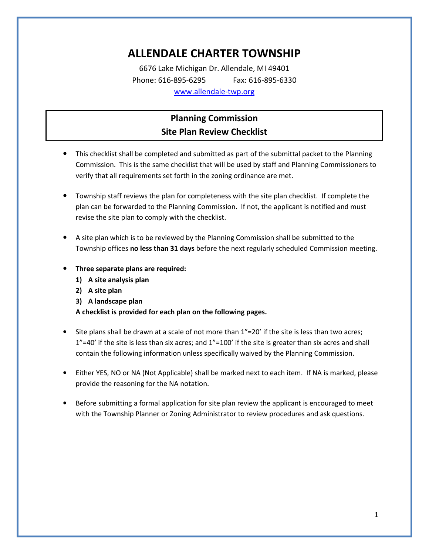# ALLENDALE CHARTER TOWNSHIP

6676 Lake Michigan Dr. Allendale, MI 49401 Phone: 616-895-6295 Fax: 616-895-6330 www.allendale-twp.org

## Planning Commission Site Plan Review Checklist

- This checklist shall be completed and submitted as part of the submittal packet to the Planning Commission. This is the same checklist that will be used by staff and Planning Commissioners to verify that all requirements set forth in the zoning ordinance are met.
- Township staff reviews the plan for completeness with the site plan checklist. If complete the plan can be forwarded to the Planning Commission. If not, the applicant is notified and must revise the site plan to comply with the checklist.
- A site plan which is to be reviewed by the Planning Commission shall be submitted to the Township offices no less than 31 days before the next regularly scheduled Commission meeting.
- Three separate plans are required:
	- 1) A site analysis plan
	- 2) A site plan
	- 3) A landscape plan

A checklist is provided for each plan on the following pages.

- Site plans shall be drawn at a scale of not more than  $1"=20'$  if the site is less than two acres; 1"=40' if the site is less than six acres; and 1"=100' if the site is greater than six acres and shall contain the following information unless specifically waived by the Planning Commission.
- Either YES, NO or NA (Not Applicable) shall be marked next to each item. If NA is marked, please provide the reasoning for the NA notation.
- Before submitting a formal application for site plan review the applicant is encouraged to meet with the Township Planner or Zoning Administrator to review procedures and ask questions.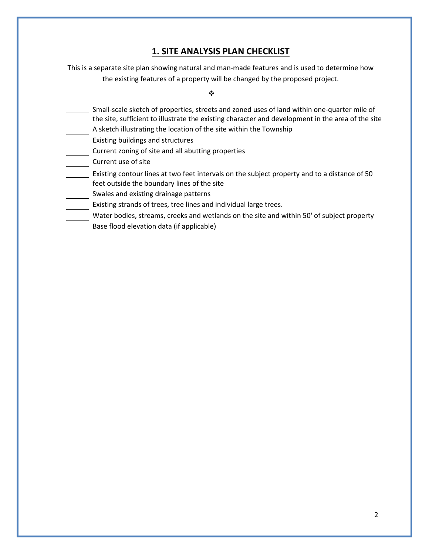### 1. SITE ANALYSIS PLAN CHECKLIST

This is a separate site plan showing natural and man-made features and is used to determine how the existing features of a property will be changed by the proposed project.

 $\ddot{\cdot}$ 

- Small-scale sketch of properties, streets and zoned uses of land within one-quarter mile of the site, sufficient to illustrate the existing character and development in the area of the site
- A sketch illustrating the location of the site within the Township
- Existing buildings and structures
- Current zoning of site and all abutting properties
- Current use of site
- Existing contour lines at two feet intervals on the subject property and to a distance of 50 feet outside the boundary lines of the site
- Swales and existing drainage patterns
- Existing strands of trees, tree lines and individual large trees.
- Water bodies, streams, creeks and wetlands on the site and within 50' of subject property
- Base flood elevation data (if applicable)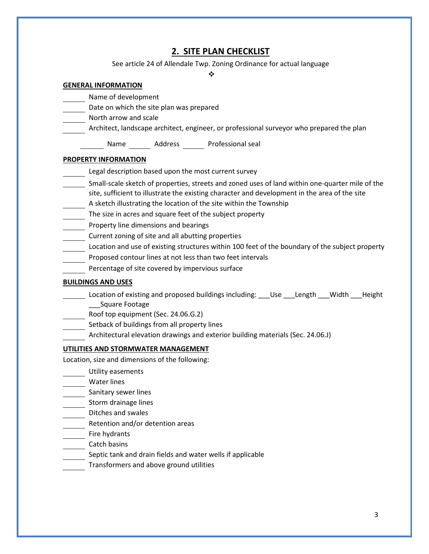## 2. SITE PLAN CHECKLIST

See article 24 of Allendale Twp. Zoning Ordinance for actual language

❖

#### GENERAL INFORMATION

- Name of development
- Date on which the site plan was prepared
- North arrow and scale
- Architect, landscape architect, engineer, or professional surveyor who prepared the plan

Name Address Professional seal

#### PROPERTY INFORMATION

- Legal description based upon the most current survey
- Small-scale sketch of properties, streets and zoned uses of land within one-quarter mile of the site, sufficient to illustrate the existing character and development in the area of the site A sketch illustrating the location of the site within the Township
- The size in acres and square feet of the subject property
- Property line dimensions and bearings
- Current zoning of site and all abutting properties
- Location and use of existing structures within 100 feet of the boundary of the subject property
- Proposed contour lines at not less than two feet intervals
- Percentage of site covered by impervious surface

#### BUILDINGS AND USES

- Location of existing and proposed buildings including: \_\_\_Use \_\_\_Length \_\_\_Width \_\_\_Height \_\_\_Square Footage
- Roof top equipment (Sec. 24.06.G.2)
- Setback of buildings from all property lines
- Architectural elevation drawings and exterior building materials (Sec. 24.06.J)

#### UTILITIES AND STORMWATER MANAGEMENT

Location, size and dimensions of the following:

- Utility easements
- Water lines
- Sanitary sewer lines
- Storm drainage lines
- Ditches and swales
- **EXEC** Retention and/or detention areas
- Fire hydrants
- Catch basins
- Septic tank and drain fields and water wells if applicable
- Transformers and above ground utilities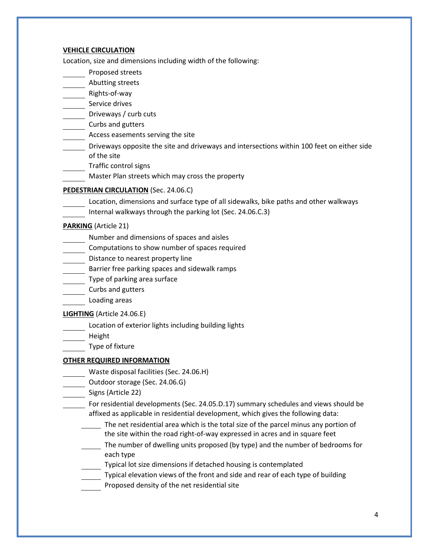#### VEHICLE CIRCULATION

Location, size and dimensions including width of the following:

- Proposed streets
- Abutting streets
- Rights-of-way
- Service drives
- Driveways / curb cuts
- Curbs and gutters
- **Access easements serving the site**
- Driveways opposite the site and driveways and intersections within 100 feet on either side of the site
- Traffic control signs
- Master Plan streets which may cross the property

#### PEDESTRIAN CIRCULATION (Sec. 24.06.C)

- Location, dimensions and surface type of all sidewalks, bike paths and other walkways
- Internal walkways through the parking lot (Sec. 24.06.C.3)

#### PARKING (Article 21)

- Number and dimensions of spaces and aisles
- Computations to show number of spaces required
- Distance to nearest property line
- Barrier free parking spaces and sidewalk ramps
- Type of parking area surface
- Curbs and gutters
- Loading areas

#### LIGHTING (Article 24.06.E)

- Location of exterior lights including building lights
- Height
- Type of fixture

#### OTHER REQUIRED INFORMATION

- Waste disposal facilities (Sec. 24.06.H)
- Outdoor storage (Sec. 24.06.G)
- Signs (Article 22)

 For residential developments (Sec. 24.05.D.17) summary schedules and views should be affixed as applicable in residential development, which gives the following data:

- The net residential area which is the total size of the parcel minus any portion of the site within the road right-of-way expressed in acres and in square feet
- The number of dwelling units proposed (by type) and the number of bedrooms for each type
- Typical lot size dimensions if detached housing is contemplated
- Typical elevation views of the front and side and rear of each type of building
- Proposed density of the net residential site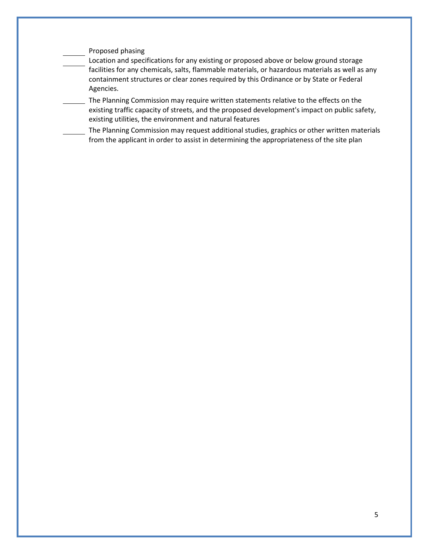#### Proposed phasing

 Location and specifications for any existing or proposed above or below ground storage facilities for any chemicals, salts, flammable materials, or hazardous materials as well as any containment structures or clear zones required by this Ordinance or by State or Federal Agencies.

The Planning Commission may require written statements relative to the effects on the existing traffic capacity of streets, and the proposed development's impact on public safety, existing utilities, the environment and natural features

 The Planning Commission may request additional studies, graphics or other written materials from the applicant in order to assist in determining the appropriateness of the site plan